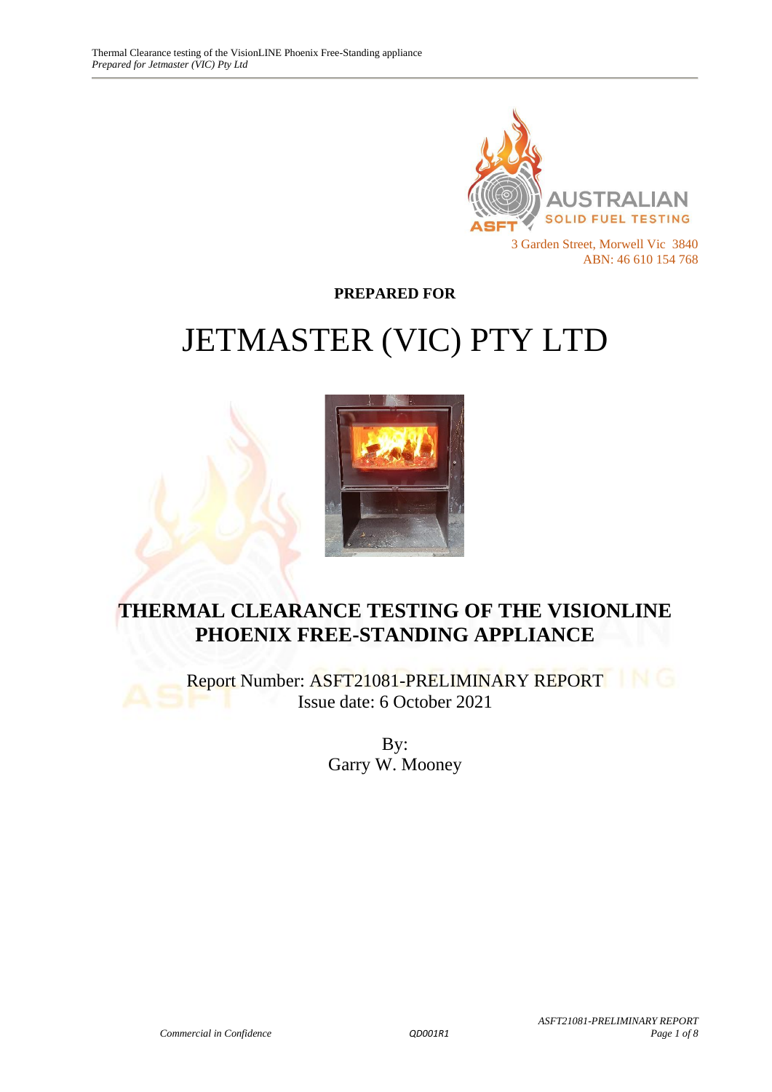

**PREPARED FOR**

# JETMASTER (VIC) PTY LTD



# **THERMAL CLEARANCE TESTING OF THE VISIONLINE PHOENIX FREE-STANDING APPLIANCE**

Report Number: ASFT21081-PRELIMINARY REPORT Issue date: 6 October 2021

> By: Garry W. Mooney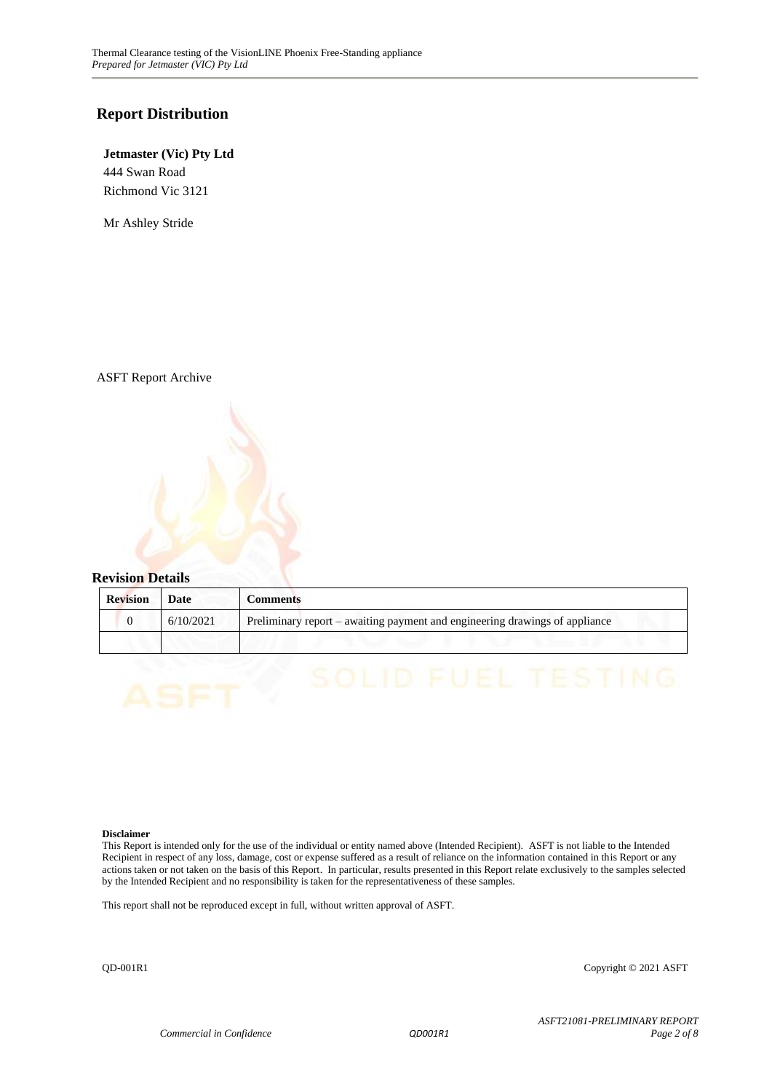#### **Report Distribution**

#### **Jetmaster (Vic) Pty Ltd** 444 Swan Road Richmond Vic 3121

Mr Ashley Stride

ASFT Report Archive



| <b>Revision</b> | Date      | Comments                                                                    |
|-----------------|-----------|-----------------------------------------------------------------------------|
|                 | 6/10/2021 | Preliminary report – awaiting payment and engineering drawings of appliance |
|                 |           |                                                                             |

#### **Disclaimer**

This Report is intended only for the use of the individual or entity named above (Intended Recipient). ASFT is not liable to the Intended Recipient in respect of any loss, damage, cost or expense suffered as a result of reliance on the information contained in this Report or any actions taken or not taken on the basis of this Report. In particular, results presented in this Report relate exclusively to the samples selected by the Intended Recipient and no responsibility is taken for the representativeness of these samples.

This report shall not be reproduced except in full, without written approval of ASFT.

QD-001R1 Copyright © 2021 ASFT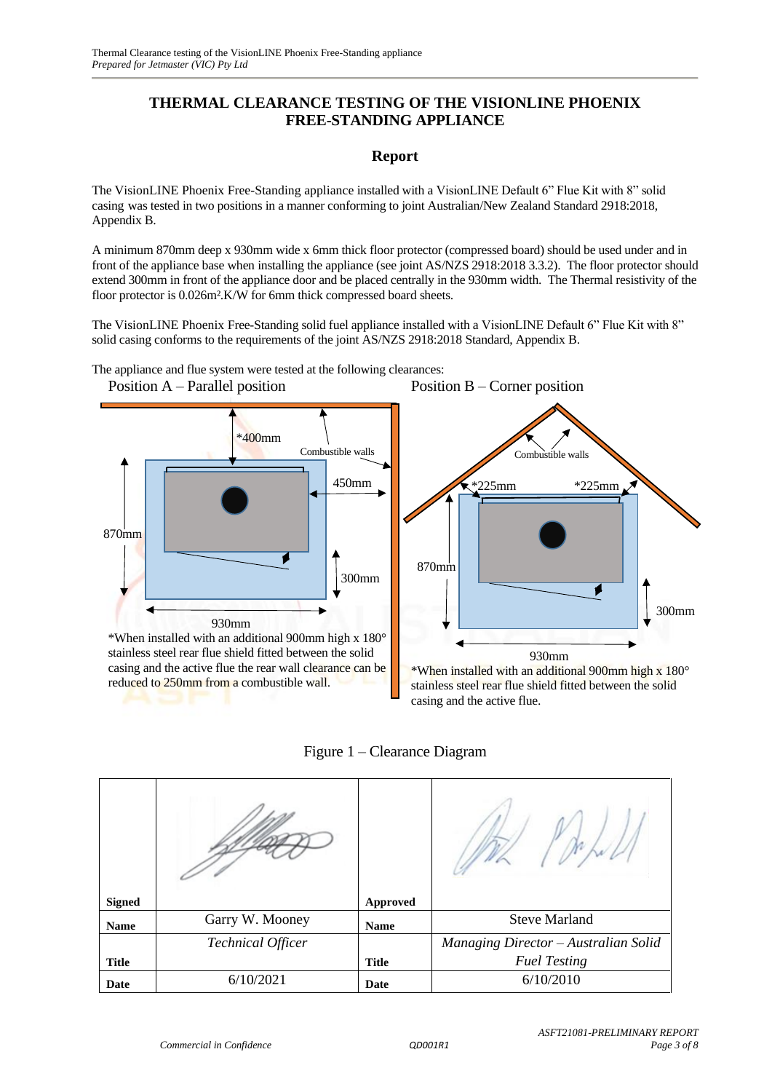#### **THERMAL CLEARANCE TESTING OF THE VISIONLINE PHOENIX FREE-STANDING APPLIANCE**

#### **Report**

The VisionLINE Phoenix Free-Standing appliance installed with a VisionLINE Default 6" Flue Kit with 8" solid casing was tested in two positions in a manner conforming to joint Australian/New Zealand Standard 2918:2018, Appendix B.

A minimum 870mm deep x 930mm wide x 6mm thick floor protector (compressed board) should be used under and in front of the appliance base when installing the appliance (see joint AS/NZS 2918:2018 3.3.2). The floor protector should extend 300mm in front of the appliance door and be placed centrally in the 930mm width. The Thermal resistivity of the floor protector is 0.026m².K/W for 6mm thick compressed board sheets.

The VisionLINE Phoenix Free-Standing solid fuel appliance installed with a VisionLINE Default 6" Flue Kit with 8" solid casing conforms to the requirements of the joint AS/NZS 2918:2018 Standard, Appendix B.

The appliance and flue system were tested at the following clearances:



stainless steel rear flue shield fitted between the solid casing and the active flue the rear wall clearance can be

reduced to 250mm from a combustible wall.

 \*225mm \*225mm 870mm Ø 300mm 930mm \*When installed with an additional 900mm high x 180°

Combustible walls

Position B – Corner position

stainless steel rear flue shield fitted between the solid casing and the active flue.

Figure 1 – Clearance Diagram

| <b>Signed</b> |                          | Approved     |                                      |
|---------------|--------------------------|--------------|--------------------------------------|
| <b>Name</b>   | Garry W. Mooney          | <b>Name</b>  | <b>Steve Marland</b>                 |
|               | <b>Technical Officer</b> |              | Managing Director - Australian Solid |
| <b>Title</b>  |                          | <b>Title</b> | <b>Fuel Testing</b>                  |
| Date          | 6/10/2021                | Date         | 6/10/2010                            |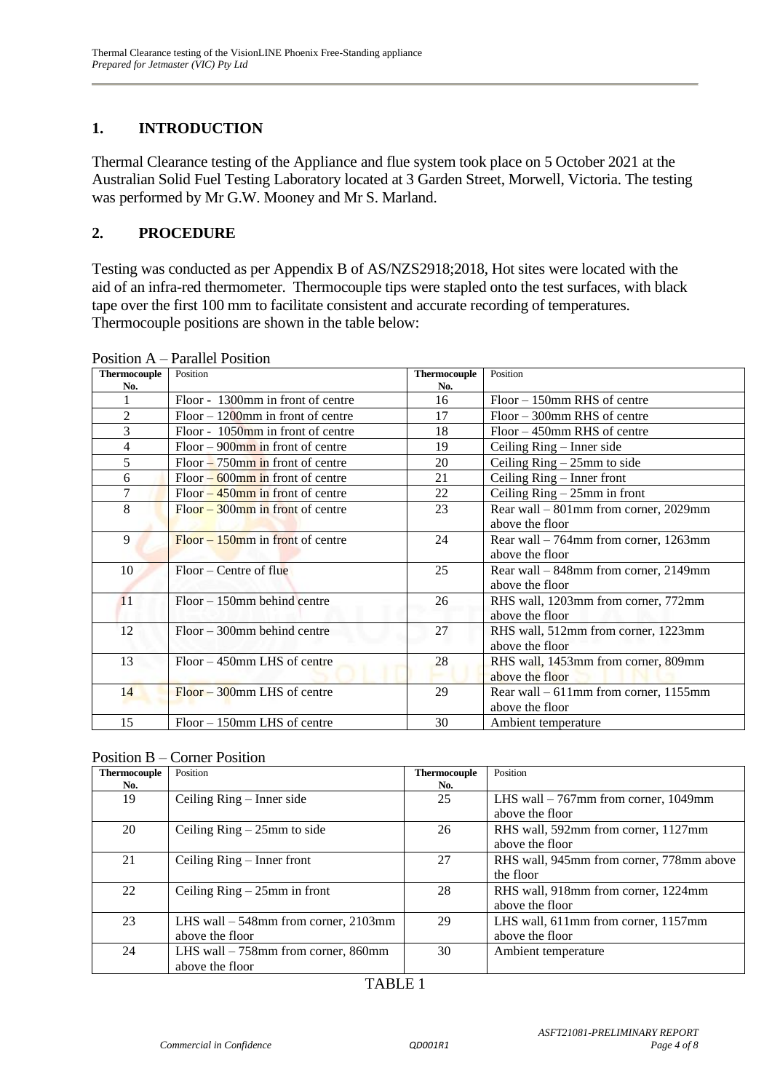## **1. INTRODUCTION**

Thermal Clearance testing of the Appliance and flue system took place on 5 October 2021 at the Australian Solid Fuel Testing Laboratory located at 3 Garden Street, Morwell, Victoria. The testing was performed by Mr G.W. Mooney and Mr S. Marland.

#### **2. PROCEDURE**

Testing was conducted as per Appendix B of AS/NZS2918;2018, Hot sites were located with the aid of an infra-red thermometer. Thermocouple tips were stapled onto the test surfaces, with black tape over the first 100 mm to facilitate consistent and accurate recording of temperatures. Thermocouple positions are shown in the table below:

| <b>Thermocouple</b> | Position                             | <b>Thermocouple</b> | Position                                 |
|---------------------|--------------------------------------|---------------------|------------------------------------------|
| No.                 |                                      | No.                 |                                          |
| 1                   | Floor - 1300mm in front of centre    | 16                  | $Floor - 150$ mm RHS of centre           |
| 2                   | $Floor - 1200$ mm in front of centre | 17                  | $Floor - 300$ mm RHS of centre           |
| 3                   | Floor - 1050mm in front of centre    | 18                  | $Floor - 450$ mm RHS of centre           |
| 4                   | $Floor - 900$ mm in front of centre  | 19                  | Ceiling Ring – Inner side                |
| 5                   | $Floor - 750$ mm in front of centre  | 20                  | Ceiling $Ring - 25mm$ to side            |
| 6                   | Floor $-600$ mm in front of centre   | 21                  | Ceiling Ring – Inner front               |
| 7                   | Floor $-450$ mm in front of centre   | 22                  | Ceiling $Ring - 25mm$ in front           |
| 8                   | $Floor - 300$ mm in front of centre  | 23                  | Rear wall – 801mm from corner, 2029mm    |
|                     |                                      |                     | above the floor                          |
| 9                   | $Floor - 150$ mm in front of centre  | 24                  | Rear wall $-764$ mm from corner, 1263mm  |
|                     |                                      |                     | above the floor                          |
| 10                  | $Floor - Centre of flu$              | 25                  | Rear wall – 848mm from corner, 2149mm    |
|                     |                                      |                     | above the floor                          |
| 11                  | $Floor - 150$ mm behind centre       | 26                  | RHS wall, 1203mm from corner, 772mm      |
|                     |                                      |                     | above the floor                          |
| 12                  | $Floor - 300$ mm behind centre       | 27                  | RHS wall, 512mm from corner, 1223mm      |
|                     |                                      |                     | above the floor                          |
| 13                  | $Floor - 450$ mm LHS of centre       | 28                  | RHS wall, 1453mm from corner, 809mm      |
|                     |                                      |                     | above the floor                          |
| 14                  | $Floor - 300$ mm LHS of centre       | 29                  | Rear wall $-611$ mm from corner, 1155 mm |
|                     |                                      |                     | above the floor                          |
| 15                  | $Floor - 150$ mm LHS of centre       | 30                  | Ambient temperature                      |

Position A – Parallel Position

| <b>Thermocouple</b> | Position                               | <b>Thermocouple</b> | Position                                 |
|---------------------|----------------------------------------|---------------------|------------------------------------------|
| No.                 |                                        | No.                 |                                          |
| 19                  | Ceiling Ring – Inner side              | 25                  | LHS wall $-767$ mm from corner, 1049mm   |
|                     |                                        |                     | above the floor                          |
| 20                  | Ceiling $Ring - 25mm$ to side          | 26                  | RHS wall, 592mm from corner, 1127mm      |
|                     |                                        |                     | above the floor                          |
| 21                  | Ceiling $Ring - Inner front$           | 27                  | RHS wall, 945mm from corner, 778mm above |
|                     |                                        |                     | the floor                                |
| 22                  | Ceiling $Ring - 25mm$ in front         | 28                  | RHS wall, 918mm from corner, 1224mm      |
|                     |                                        |                     | above the floor                          |
| 23                  | LHS wall $-548$ mm from corner, 2103mm | 29                  | LHS wall, 611mm from corner, 1157mm      |
|                     | above the floor                        |                     | above the floor                          |
| 24                  | LHS wall $-758$ mm from corner, 860mm  | 30                  | Ambient temperature                      |
|                     | above the floor                        |                     |                                          |

### TABLE 1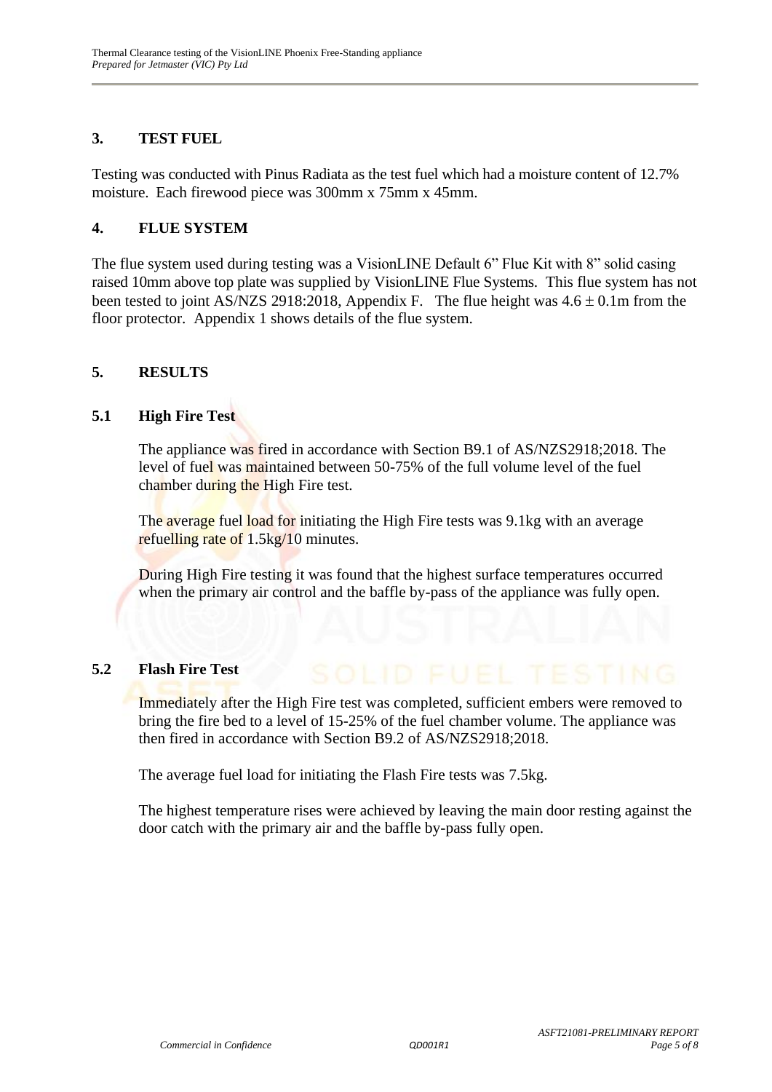#### **3. TEST FUEL**

Testing was conducted with Pinus Radiata as the test fuel which had a moisture content of 12.7% moisture. Each firewood piece was 300mm x 75mm x 45mm.

#### **4. FLUE SYSTEM**

The flue system used during testing was a VisionLINE Default 6" Flue Kit with 8" solid casing raised 10mm above top plate was supplied by VisionLINE Flue Systems. This flue system has not been tested to joint AS/NZS 2918:2018, Appendix F. The flue height was  $4.6 \pm 0.1$ m from the floor protector. Appendix 1 shows details of the flue system.

#### **5. RESULTS**

#### **5.1 High Fire Test**

The appliance was fired in accordance with Section B9.1 of AS/NZS2918;2018. The level of fuel was maintained between 50-75% of the full volume level of the fuel chamber during the High Fire test.

The average fuel load for initiating the High Fire tests was 9.1kg with an average refuelling rate of 1.5kg/10 minutes.

During High Fire testing it was found that the highest surface temperatures occurred when the primary air control and the baffle by-pass of the appliance was fully open.

#### **5.2 Flash Fire Test**

Immediately after the High Fire test was completed, sufficient embers were removed to bring the fire bed to a level of 15-25% of the fuel chamber volume. The appliance was then fired in accordance with Section B9.2 of AS/NZS2918;2018.

The average fuel load for initiating the Flash Fire tests was 7.5kg.

The highest temperature rises were achieved by leaving the main door resting against the door catch with the primary air and the baffle by-pass fully open.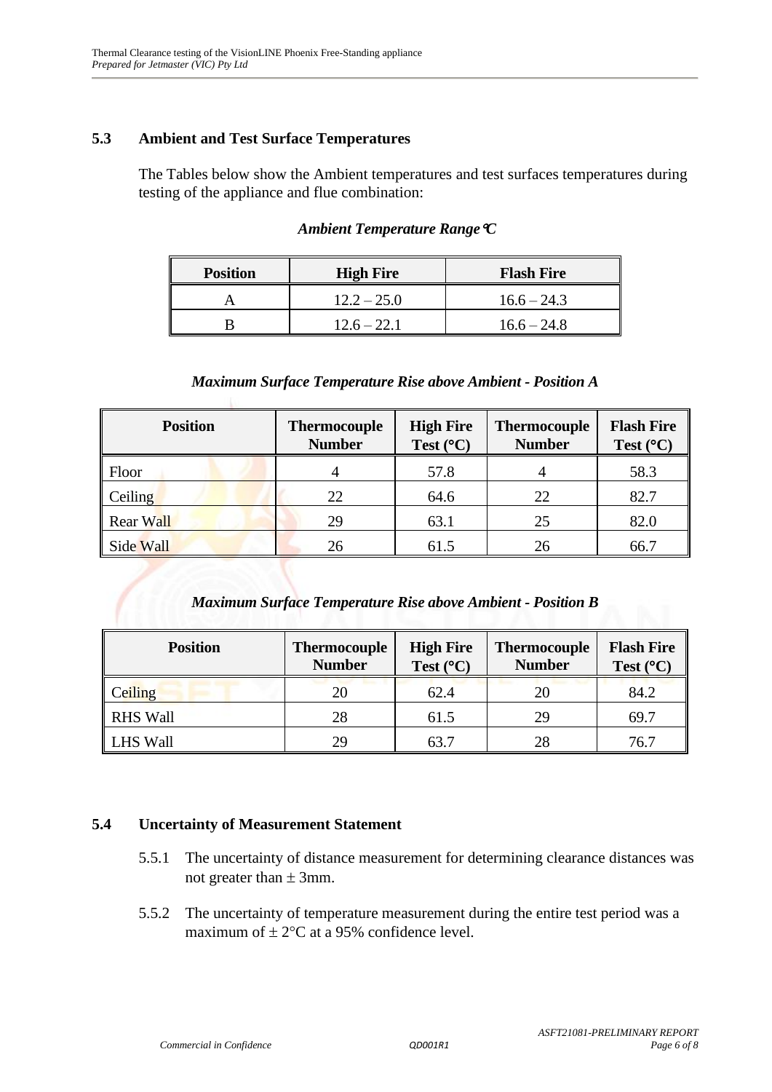#### **5.3 Ambient and Test Surface Temperatures**

The Tables below show the Ambient temperatures and test surfaces temperatures during testing of the appliance and flue combination:

| <b>Position</b> | <b>High Fire</b> | <b>Flash Fire</b> |
|-----------------|------------------|-------------------|
|                 | $12.2 - 25.0$    | $16.6 - 24.3$     |
|                 | $12.6 - 22.1$    | $16.6 - 24.8$     |

#### *Ambient Temperature RangeC*

#### *Maximum Surface Temperature Rise above Ambient - Position A*

| <b>Position</b>  | <b>Thermocouple</b><br><b>Number</b> | <b>High Fire</b><br>Test $(^{\circ}C)$ | <b>Thermocouple</b><br><b>Number</b> | <b>Flash Fire</b><br>Test $(^{\circ}C)$ |
|------------------|--------------------------------------|----------------------------------------|--------------------------------------|-----------------------------------------|
| Floor            |                                      | 57.8                                   |                                      | 58.3                                    |
| Ceiling          | 22                                   | 64.6                                   | 22                                   | 82.7                                    |
| <b>Rear Wall</b> | 29                                   | 63.1                                   | 25                                   | 82.0                                    |
| Side Wall        | 26                                   | 61.5                                   | 26                                   | 66.7                                    |

#### *Maximum Surface Temperature Rise above Ambient - Position B*

| <b>Position</b> | <b>Thermocouple</b><br><b>Number</b> | <b>High Fire</b><br>Test $(^{\circ}C)$ | <b>Thermocouple</b><br><b>Number</b> | <b>Flash Fire</b><br>Test $(^{\circ}C)$ |
|-----------------|--------------------------------------|----------------------------------------|--------------------------------------|-----------------------------------------|
| Ceiling         | 20                                   | 62.4                                   | 20                                   | 84.2                                    |
| <b>RHS Wall</b> | 28                                   | 61.5                                   | 29                                   | 69.7                                    |
| <b>LHS Wall</b> | 29                                   | 63.7                                   | 28                                   | 76.7                                    |

#### **5.4 Uncertainty of Measurement Statement**

- 5.5.1 The uncertainty of distance measurement for determining clearance distances was not greater than  $\pm$  3mm.
- 5.5.2 The uncertainty of temperature measurement during the entire test period was a maximum of  $\pm 2$ °C at a 95% confidence level.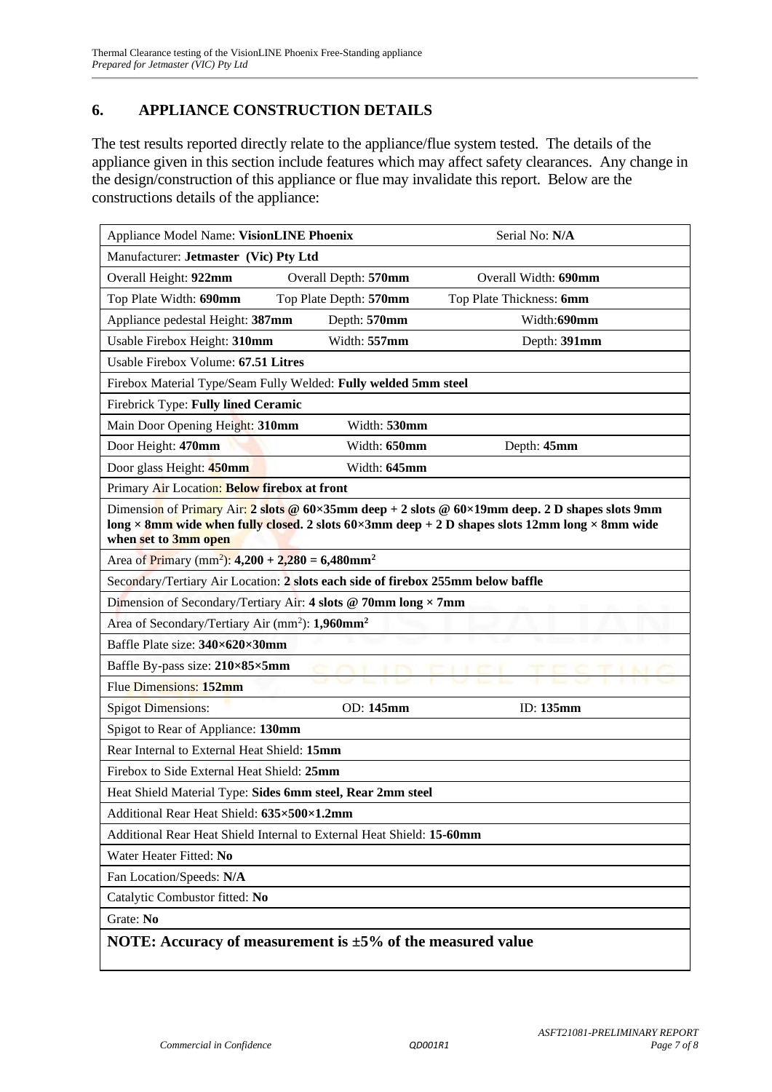#### **6. APPLIANCE CONSTRUCTION DETAILS**

The test results reported directly relate to the appliance/flue system tested. The details of the appliance given in this section include features which may affect safety clearances. Any change in the design/construction of this appliance or flue may invalidate this report. Below are the constructions details of the appliance:

| Appliance Model Name: VisionLINE Phoenix                                         |                        | Serial No: N/A                                                                                  |  |  |  |
|----------------------------------------------------------------------------------|------------------------|-------------------------------------------------------------------------------------------------|--|--|--|
| Manufacturer: Jetmaster (Vic) Pty Ltd                                            |                        |                                                                                                 |  |  |  |
| Overall Height: 922mm                                                            | Overall Depth: 570mm   | Overall Width: 690mm                                                                            |  |  |  |
| Top Plate Width: 690mm                                                           | Top Plate Depth: 570mm | Top Plate Thickness: 6mm                                                                        |  |  |  |
| Appliance pedestal Height: 387mm                                                 | Depth: 570mm           | Width:690mm                                                                                     |  |  |  |
| Usable Firebox Height: 310mm                                                     | Width: 557mm           | Depth: 391mm                                                                                    |  |  |  |
| Usable Firebox Volume: 67.51 Litres                                              |                        |                                                                                                 |  |  |  |
| Firebox Material Type/Seam Fully Welded: Fully welded 5mm steel                  |                        |                                                                                                 |  |  |  |
| Firebrick Type: Fully lined Ceramic                                              |                        |                                                                                                 |  |  |  |
| Main Door Opening Height: 310mm                                                  | Width: 530mm           |                                                                                                 |  |  |  |
| Door Height: 470mm                                                               | Width: 650mm           | Depth: 45mm                                                                                     |  |  |  |
| Door glass Height: 450mm                                                         | Width: 645mm           |                                                                                                 |  |  |  |
| Primary Air Location: Below firebox at front                                     |                        |                                                                                                 |  |  |  |
|                                                                                  |                        | Dimension of Primary Air: 2 slots @ 60×35mm deep + 2 slots @ 60×19mm deep. 2 D shapes slots 9mm |  |  |  |
| when set to 3mm open                                                             |                        | long × 8mm wide when fully closed. 2 slots 60×3mm deep + 2 D shapes slots 12mm long × 8mm wide  |  |  |  |
| Area of Primary (mm <sup>2</sup> ): 4,200 + 2,280 = 6,480mm <sup>2</sup>         |                        |                                                                                                 |  |  |  |
| Secondary/Tertiary Air Location: 2 slots each side of firebox 255mm below baffle |                        |                                                                                                 |  |  |  |
| Dimension of Secondary/Tertiary Air: 4 slots @ 70mm long × 7mm                   |                        |                                                                                                 |  |  |  |
| Area of Secondary/Tertiary Air (mm <sup>2</sup> ): 1,960mm <sup>2</sup>          |                        |                                                                                                 |  |  |  |
| Baffle Plate size: 340×620×30mm                                                  |                        |                                                                                                 |  |  |  |
| Baffle By-pass size: 210×85×5mm                                                  |                        |                                                                                                 |  |  |  |
| Flue Dimensions: 152mm                                                           |                        |                                                                                                 |  |  |  |
| <b>Spigot Dimensions:</b>                                                        | OD: 145mm              | ID: 135mm                                                                                       |  |  |  |
| Spigot to Rear of Appliance: 130mm                                               |                        |                                                                                                 |  |  |  |
| Rear Internal to External Heat Shield: 15mm                                      |                        |                                                                                                 |  |  |  |
| Firebox to Side External Heat Shield: 25mm                                       |                        |                                                                                                 |  |  |  |
| Heat Shield Material Type: Sides 6mm steel, Rear 2mm steel                       |                        |                                                                                                 |  |  |  |
| Additional Rear Heat Shield: 635×500×1.2mm                                       |                        |                                                                                                 |  |  |  |
| Additional Rear Heat Shield Internal to External Heat Shield: 15-60mm            |                        |                                                                                                 |  |  |  |
| Water Heater Fitted: No                                                          |                        |                                                                                                 |  |  |  |
| Fan Location/Speeds: N/A                                                         |                        |                                                                                                 |  |  |  |
| Catalytic Combustor fitted: No                                                   |                        |                                                                                                 |  |  |  |
| Grate: No                                                                        |                        |                                                                                                 |  |  |  |
| NOTE: Accuracy of measurement is $\pm 5\%$ of the measured value                 |                        |                                                                                                 |  |  |  |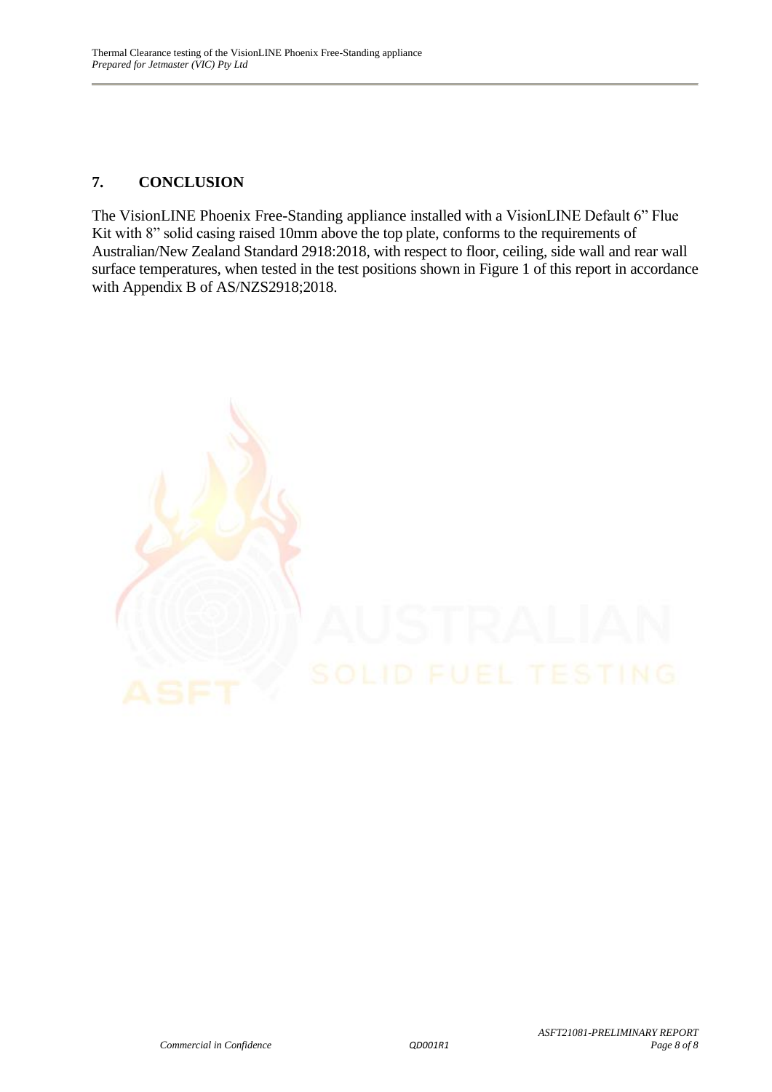#### **7. CONCLUSION**

The VisionLINE Phoenix Free-Standing appliance installed with a VisionLINE Default 6" Flue Kit with 8" solid casing raised 10mm above the top plate, conforms to the requirements of Australian/New Zealand Standard 2918:2018, with respect to floor, ceiling, side wall and rear wall surface temperatures, when tested in the test positions shown in Figure 1 of this report in accordance with Appendix B of AS/NZS2918;2018.